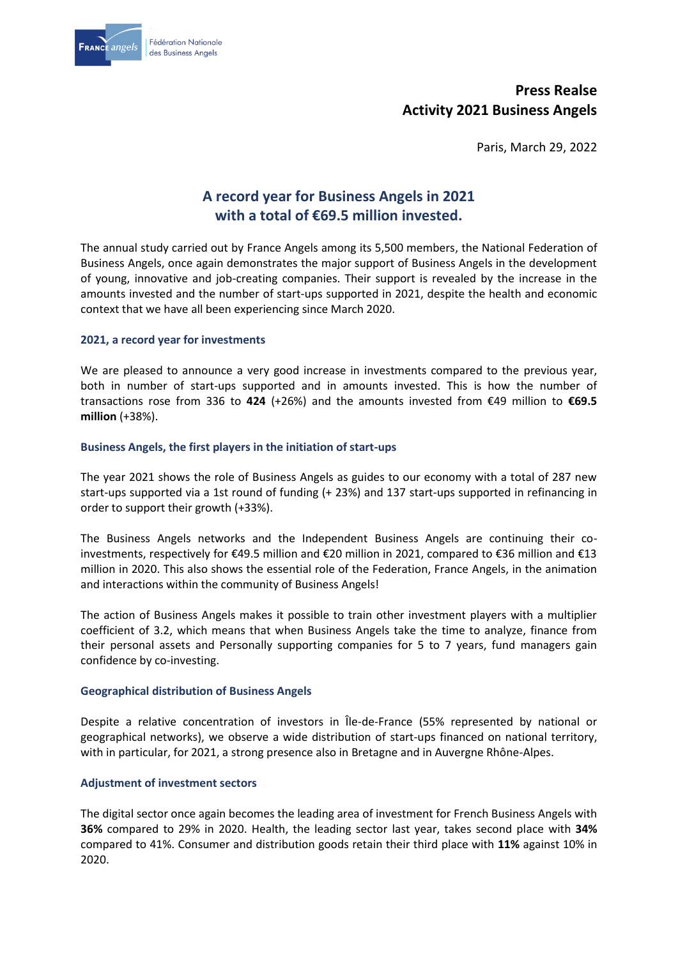

# **Press Realse Activity 2021 Business Angels**

Paris, March 29, 2022

# **A record year for Business Angels in 2021 with a total of €69.5 million invested.**

The annual study carried out by France Angels among its 5,500 members, the National Federation of Business Angels, once again demonstrates the major support of Business Angels in the development of young, innovative and job-creating companies. Their support is revealed by the increase in the amounts invested and the number of start-ups supported in 2021, despite the health and economic context that we have all been experiencing since March 2020.

#### **2021, a record year for investments**

We are pleased to announce a very good increase in investments compared to the previous year, both in number of start-ups supported and in amounts invested. This is how the number of transactions rose from 336 to **424** (+26%) and the amounts invested from €49 million to **€69.5 million** (+38%).

#### **Business Angels, the first players in the initiation of start-ups**

The year 2021 shows the role of Business Angels as guides to our economy with a total of 287 new start-ups supported via a 1st round of funding (+ 23%) and 137 start-ups supported in refinancing in order to support their growth (+33%).

The Business Angels networks and the Independent Business Angels are continuing their coinvestments, respectively for €49.5 million and €20 million in 2021, compared to €36 million and €13 million in 2020. This also shows the essential role of the Federation, France Angels, in the animation and interactions within the community of Business Angels!

The action of Business Angels makes it possible to train other investment players with a multiplier coefficient of 3.2, which means that when Business Angels take the time to analyze, finance from their personal assets and Personally supporting companies for 5 to 7 years, fund managers gain confidence by co-investing.

#### **Geographical distribution of Business Angels**

Despite a relative concentration of investors in Île-de-France (55% represented by national or geographical networks), we observe a wide distribution of start-ups financed on national territory, with in particular, for 2021, a strong presence also in Bretagne and in Auvergne Rhône-Alpes.

#### **Adjustment of investment sectors**

The digital sector once again becomes the leading area of investment for French Business Angels with **36%** compared to 29% in 2020. Health, the leading sector last year, takes second place with **34%** compared to 41%. Consumer and distribution goods retain their third place with **11%** against 10% in 2020.